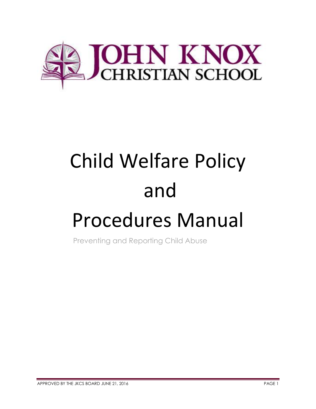

# Child Welfare Policy and

## Procedures Manual

Preventing and Reporting Child Abuse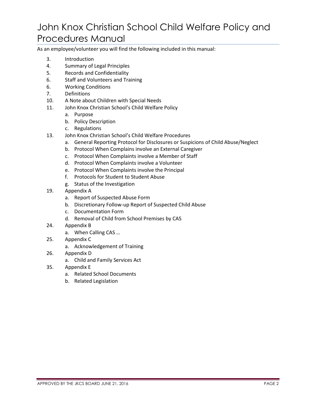## John Knox Christian School Child Welfare Policy and Procedures Manual

As an employee/volunteer you will find the following included in this manual:

- 3. Introduction
- 4. Summary of Legal Principles
- 5. Records and Confidentiality
- 6. Staff and Volunteers and Training
- 6. Working Conditions
- 7. Definitions
- 10. A Note about Children with Special Needs
- 11. John Knox Christian School's Child Welfare Policy
	- a. Purpose
	- b. Policy Description
	- c. Regulations
- 13. John Knox Christian School's Child Welfare Procedures
	- a. General Reporting Protocol for Disclosures or Suspicions of Child Abuse/Neglect
	- b. Protocol When Complains involve an External Caregiver
	- c. Protocol When Complaints involve a Member of Staff
	- d. Protocol When Complaints involve a Volunteer
	- e. Protocol When Complaints involve the Principal
	- f. Protocols for Student to Student Abuse
	- g. Status of the Investigation
- 19. Appendix A
	- a. Report of Suspected Abuse Form
	- b. Discretionary Follow-up Report of Suspected Child Abuse
	- c. Documentation Form
	- d. Removal of Child from School Premises by CAS
- 24. Appendix B
	- a. When Calling CAS …
- 25. Appendix C
	- a. Acknowledgement of Training
- 26. Appendix D
	- a. Child and Family Services Act
- 35. Appendix E
	- a. Related School Documents
	- b. Related Legislation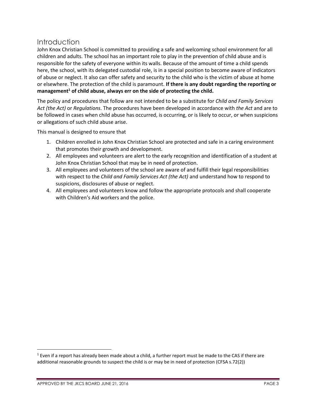#### Introduction

John Knox Christian School is committed to providing a safe and welcoming school environment for all children and adults. The school has an important role to play in the prevention of child abuse and is responsible for the safety of everyone within its walls. Because of the amount of time a child spends here, the school, with its delegated custodial role, is in a special position to become aware of indicators of abuse or neglect. It also can offer safety and security to the child who is the victim of abuse at home or elsewhere. The protection of the child is paramount. **If there is any doubt regarding the reporting or management<sup>1</sup> of child abuse, always err on the side of protecting the child.**

The policy and procedures that follow are not intended to be a substitute for *Child and Family Services Act (the Act)* or *Regulations*. The procedures have been developed in accordance with *the Act* and are to be followed in cases when child abuse has occurred, is occurring, or is likely to occur, or when suspicions or allegations of such child abuse arise.

This manual is designed to ensure that

- 1. Children enrolled in John Knox Christian School are protected and safe in a caring environment that promotes their growth and development.
- 2. All employees and volunteers are alert to the early recognition and identification of a student at John Knox Christian School that may be in need of protection.
- 3. All employees and volunteers of the school are aware of and fulfill their legal responsibilities with respect to the *Child and Family Services Act (the Act)* and understand how to respond to suspicions, disclosures of abuse or neglect.
- 4. All employees and volunteers know and follow the appropriate protocols and shall cooperate with Children's Aid workers and the police.

 $\overline{\phantom{a}}$ 

 $<sup>1</sup>$  Even if a report has already been made about a child, a further report must be made to the CAS if there are</sup> additional reasonable grounds to suspect the child is or may be in need of protection (CFSA s.72(2))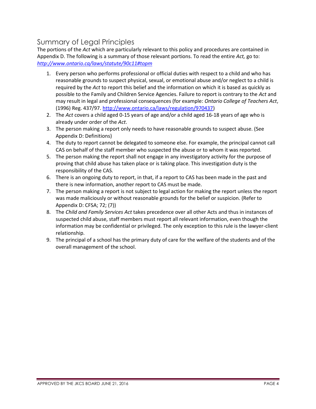## Summary of Legal Principles

The portions of the *Act* which are particularly relevant to this policy and procedures are contained in Appendix D. The following is a summary of those relevant portions. To read the entire *Act,* go to: *<http://www.ontario.ca/laws/statute/90c11#topm>*

- 1. Every person who performs professional or official duties with respect to a child and who has reasonable grounds to suspect physical, sexual, or emotional abuse and/or neglect to a child is required by the *Act* to report this belief and the information on which it is based as quickly as possible to the Family and Children Service Agencies. Failure to report is contrary to the *Act* and may result in legal and professional consequences (for example: *Ontario College of Teachers Act*, (1996) Reg. 437/97[. http://www.ontario.ca/laws/regulation/970437\)](http://www.ontario.ca/laws/regulation/970437)
- 2. The *Act* covers a child aged 0-15 years of age and/or a child aged 16-18 years of age who is already under order of the *Act*.
- 3. The person making a report only needs to have reasonable grounds to suspect abuse. (See Appendix D: Definitions)
- 4. The duty to report cannot be delegated to someone else. For example, the principal cannot call CAS on behalf of the staff member who suspected the abuse or to whom it was reported.
- 5. The person making the report shall not engage in any investigatory activity for the purpose of proving that child abuse has taken place or is taking place. This investigation duty is the responsibility of the CAS.
- 6. There is an ongoing duty to report, in that, if a report to CAS has been made in the past and there is new information, another report to CAS must be made.
- 7. The person making a report is not subject to legal action for making the report unless the report was made maliciously or without reasonable grounds for the belief or suspicion. (Refer to Appendix D: CFSA; 72; (7))
- 8. The *Child and Family Services Act* takes precedence over all other Acts and thus in instances of suspected child abuse, staff members must report all relevant information, even though the information may be confidential or privileged. The only exception to this rule is the lawyer-client relationship.
- 9. The principal of a school has the primary duty of care for the welfare of the students and of the overall management of the school.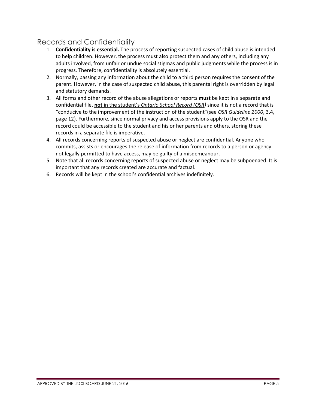## Records and Confidentiality

- 1. **Confidentiality is essential.** The process of reporting suspected cases of child abuse is intended to help children. However, the process must also protect them and any others, including any adults involved, from unfair or undue social stigmas and public judgments while the process is in progress. Therefore, confidentiality is absolutely essential.
- 2. Normally, passing any information about the child to a third person requires the consent of the parent. However, in the case of suspected child abuse, this parental right is overridden by legal and statutory demands.
- 3. All forms and other record of the abuse allegations or reports **must** be kept in a separate and confidential file, **not** in the student's *Ontario School Record (OSR)* since it is not a record that is "conducive to the improvement of the instruction of the student"(see *OSR Guideline 2000*, 3.4, page 12). Furthermore, since normal privacy and access provisions apply to the OSR and the record could be accessible to the student and his or her parents and others, storing these records in a separate file is imperative.
- 4. All records concerning reports of suspected abuse or neglect are confidential. Anyone who commits, assists or encourages the release of information from records to a person or agency not legally permitted to have access, may be guilty of a misdemeanour.
- 5. Note that all records concerning reports of suspected abuse or neglect may be subpoenaed. It is important that any records created are accurate and factual.
- 6. Records will be kept in the school's confidential archives indefinitely.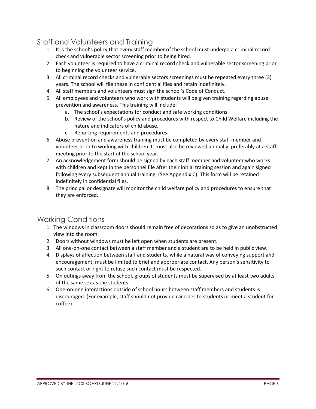## Staff and Volunteers and Training

- 1. It is the school's policy that every staff member of the school must undergo a criminal record check and vulnerable sector screening prior to being hired.
- 2. Each volunteer is required to have a criminal record check and vulnerable sector screening prior to beginning the volunteer service.
- 3. All criminal record checks and vulnerable sectors screenings must be repeated every three (3) years. The school will file these in confidential files and retain indefinitely.
- 4. All staff members and volunteers must sign the school's Code of Conduct.
- 5. All employees and volunteers who work with students will be given training regarding abuse prevention and awareness. This training will include:
	- a. The school's expectations for conduct and safe working conditions.
	- b. Review of the school's policy and procedures with respect to Child Welfare including the nature and indicators of child abuse.
	- c. Reporting requirements and procedures.
- 6. Abuse prevention and awareness training must be completed by every staff member and volunteer prior to working with children. It must also be reviewed annually, preferably at a staff meeting prior to the start of the school year.
- 7. An acknowledgement form should be signed by each staff member and volunteer who works with children and kept in the personnel file after their initial training session and again signed following every subsequent annual training. (See Appendix C). This form will be retained indefinitely in confidential files.
- 8. The principal or designate will monitor the child welfare policy and procedures to ensure that they are enforced.

## Working Conditions

- 1. The windows in classroom doors should remain free of decorations so as to give an unobstructed view into the room.
- 2. Doors without windows must be left open when students are present.
- 3. All one-on-one contact between a staff member and a student are to be held in public view.
- 4. Displays of affection between staff and students, while a natural way of conveying support and encouragement, must be limited to brief and appropriate contact. Any person's sensitivity to such contact or right to refuse such contact must be respected.
- 5. On outings away from the school, groups of students must be supervised by at least two adults of the same sex as the students.
- 6. One-on-one interactions outside of school hours between staff members and students is discouraged. (For example, staff should not provide car rides to students or meet a student for coffee).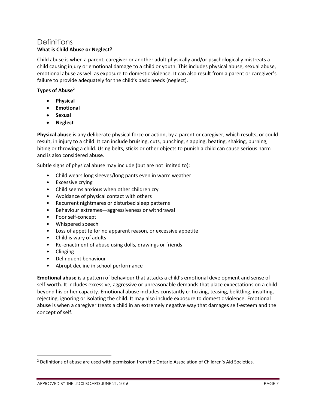#### **Definitions What is Child Abuse or Neglect?**

Child abuse is when a parent, caregiver or another adult physically and/or psychologically mistreats a child causing injury or emotional damage to a child or youth. This includes physical abuse, sexual abuse, emotional abuse as well as exposure to domestic violence. It can also result from a parent or caregiver's failure to provide adequately for the child's basic needs (neglect).

#### **Types of Abuse<sup>2</sup>**

- **Physical**
- **Emotional**
- **•** Sexual
- **Neglect**

**Physical abuse** is any deliberate physical force or action, by a parent or caregiver, which results, or could result, in injury to a child. It can include bruising, cuts, punching, slapping, beating, shaking, burning, biting or throwing a child. Using belts, sticks or other objects to punish a child can cause serious harm and is also considered abuse.

Subtle signs of physical abuse may include (but are not limited to):

- Child wears long sleeves/long pants even in warm weather
- Excessive crying
- Child seems anxious when other children cry
- Avoidance of physical contact with others
- Recurrent nightmares or disturbed sleep patterns
- Behaviour extremes—aggressiveness or withdrawal
- Poor self-concept
- Whispered speech
- Loss of appetite for no apparent reason, or excessive appetite
- Child is wary of adults
- Re-enactment of abuse using dolls, drawings or friends
- Clinging

 $\overline{\phantom{a}}$ 

- Delinquent behaviour
- Abrupt decline in school performance

**Emotional abuse** is a pattern of behaviour that attacks a child's emotional development and sense of self-worth. It includes excessive, aggressive or unreasonable demands that place expectations on a child beyond his or her capacity. Emotional abuse includes constantly criticizing, teasing, belittling, insulting, rejecting, ignoring or isolating the child. It may also include exposure to domestic violence. Emotional abuse is when a caregiver treats a child in an extremely negative way that damages self-esteem and the concept of self.

<sup>&</sup>lt;sup>2</sup> Definitions of abuse are used with permission from the Ontario Association of Children's Aid Societies.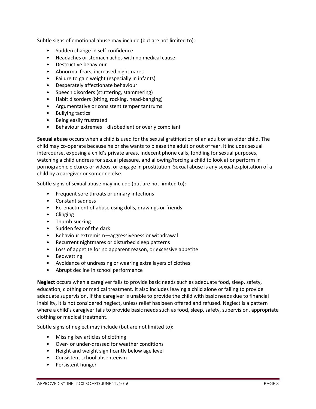Subtle signs of emotional abuse may include (but are not limited to):

- Sudden change in self-confidence
- Headaches or stomach aches with no medical cause
- Destructive behaviour
- Abnormal fears, increased nightmares
- Failure to gain weight (especially in infants)
- Desperately affectionate behaviour
- Speech disorders (stuttering, stammering)
- Habit disorders (biting, rocking, head-banging)
- Argumentative or consistent temper tantrums
- Bullying tactics
- Being easily frustrated
- Behaviour extremes—disobedient or overly compliant

**Sexual abuse** occurs when a child is used for the sexual gratification of an adult or an older child. The child may co-operate because he or she wants to please the adult or out of fear. It includes sexual intercourse, exposing a child's private areas, indecent phone calls, fondling for sexual purposes, watching a child undress for sexual pleasure, and allowing/forcing a child to look at or perform in pornographic pictures or videos, or engage in prostitution. Sexual abuse is any sexual exploitation of a child by a caregiver or someone else.

Subtle signs of sexual abuse may include (but are not limited to):

- Frequent sore throats or urinary infections
- Constant sadness
- Re-enactment of abuse using dolls, drawings or friends
- Clinging
- Thumb-sucking
- Sudden fear of the dark
- Behaviour extremism—aggressiveness or withdrawal
- Recurrent nightmares or disturbed sleep patterns
- Loss of appetite for no apparent reason, or excessive appetite
- **Bedwetting**
- Avoidance of undressing or wearing extra layers of clothes
- Abrupt decline in school performance

**Neglect** occurs when a caregiver fails to provide basic needs such as adequate food, sleep, safety, education, clothing or medical treatment. It also includes leaving a child alone or failing to provide adequate supervision. If the caregiver is unable to provide the child with basic needs due to financial inability, it is not considered neglect, unless relief has been offered and refused. Neglect is a pattern where a child's caregiver fails to provide basic needs such as food, sleep, safety, supervision, appropriate clothing or medical treatment.

Subtle signs of neglect may include (but are not limited to):

- Missing key articles of clothing
- Over- or under-dressed for weather conditions
- Height and weight significantly below age level
- Consistent school absenteeism
- Persistent hunger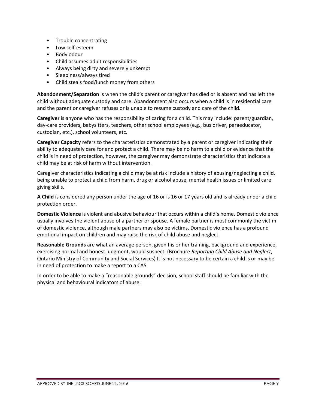- Trouble concentrating
- Low self-esteem
- Body odour
- Child assumes adult responsibilities
- Always being dirty and severely unkempt
- Sleepiness/always tired
- Child steals food/lunch money from others

**Abandonment/Separation** is when the child's parent or caregiver has died or is absent and has left the child without adequate custody and care. Abandonment also occurs when a child is in residential care and the parent or caregiver refuses or is unable to resume custody and care of the child.

**Caregiver** is anyone who has the responsibility of caring for a child. This may include: parent/guardian, day-care providers, babysitters, teachers, other school employees (e.g., bus driver, paraeducator, custodian, etc.), school volunteers, etc.

**Caregiver Capacity** refers to the characteristics demonstrated by a parent or caregiver indicating their ability to adequately care for and protect a child. There may be no harm to a child or evidence that the child is in need of protection, however, the caregiver may demonstrate characteristics that indicate a child may be at risk of harm without intervention.

Caregiver characteristics indicating a child may be at risk include a history of abusing/neglecting a child, being unable to protect a child from harm, drug or alcohol abuse, mental health issues or limited care giving skills.

**A Child** is considered any person under the age of 16 or is 16 or 17 years old and is already under a child protection order.

**Domestic Violence** is violent and abusive behaviour that occurs within a child's home. Domestic violence usually involves the violent abuse of a partner or spouse. A female partner is most commonly the victim of domestic violence, although male partners may also be victims. Domestic violence has a profound emotional impact on children and may raise the risk of child abuse and neglect.

**Reasonable Grounds** are what an average person, given his or her training, background and experience, exercising normal and honest judgment, would suspect. (Brochure *Reporting Child Abuse and Neglect*, Ontario Ministry of Community and Social Services) It is not necessary to be certain a child is or may be in need of protection to make a report to a CAS.

In order to be able to make a "reasonable grounds" decision, school staff should be familiar with the physical and behavioural indicators of abuse.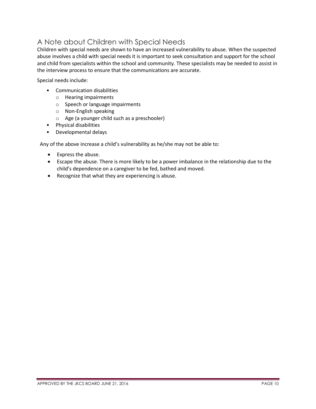## A Note about Children with Special Needs

Children with special needs are shown to have an increased vulnerability to abuse. When the suspected abuse involves a child with special needs it is important to seek consultation and support for the school and child from specialists within the school and community. These specialists may be needed to assist in the interview process to ensure that the communications are accurate.

Special needs include:

- Communication disabilities
	- o Hearing impairments
	- o Speech or language impairments
	- o Non-English speaking
	- o Age (a younger child such as a preschooler)
- Physical disabilities
- Developmental delays

Any of the above increase a child's vulnerability as he/she may not be able to:

- Express the abuse.
- Escape the abuse. There is more likely to be a power imbalance in the relationship due to the child's dependence on a caregiver to be fed, bathed and moved.
- Recognize that what they are experiencing is abuse.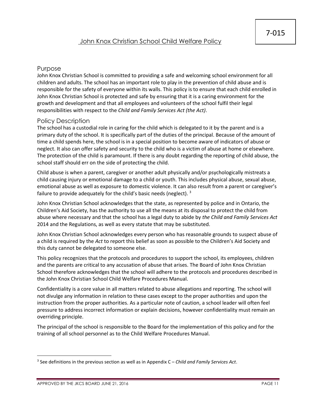#### Purpose

John Knox Christian School is committed to providing a safe and welcoming school environment for all children and adults. The school has an important role to play in the prevention of child abuse and is responsible for the safety of everyone within its walls. This policy is to ensure that each child enrolled in John Knox Christian School is protected and safe by ensuring that it is a caring environment for the growth and development and that all employees and volunteers of the school fulfil their legal responsibilities with respect to the *Child and Family Services Act (the Act)*.

#### Policy Description

The school has a custodial role in caring for the child which is delegated to it by the parent and is a primary duty of the school. It is specifically part of the duties of the principal. Because of the amount of time a child spends here, the school is in a special position to become aware of indicators of abuse or neglect. It also can offer safety and security to the child who is a victim of abuse at home or elsewhere. The protection of the child is paramount. If there is any doubt regarding the reporting of child abuse, the school staff should err on the side of protecting the child.

Child abuse is when a parent, caregiver or another adult physically and/or psychologically mistreats a child causing injury or emotional damage to a child or youth. This includes physical abuse, sexual abuse, emotional abuse as well as exposure to domestic violence. It can also result from a parent or caregiver's failure to provide adequately for the child's basic needs (neglect). <sup>3</sup>

John Knox Christian School acknowledges that the state, as represented by police and in Ontario, the Children's Aid Society, has the authority to use all the means at its disposal to protect the child from abuse where necessary and that the school has a legal duty to abide by *the Child and Family Services Act* 2014 and the Regulations, as well as every statute that may be substituted.

John Knox Christian School acknowledges every person who has reasonable grounds to suspect abuse of a child is required by the *Act* to report this belief as soon as possible to the Children's Aid Society and this duty cannot be delegated to someone else.

This policy recognizes that the protocols and procedures to support the school, its employees, children and the parents are critical to any accusation of abuse that arises. The Board of John Knox Christian School therefore acknowledges that the school will adhere to the protocols and procedures described in the John Knox Christian School Child Welfare Procedures Manual.

Confidentiality is a core value in all matters related to abuse allegations and reporting. The school will not divulge any information in relation to these cases except to the proper authorities and upon the instruction from the proper authorities. As a particular note of caution, a school leader will often feel pressure to address incorrect information or explain decisions, however confidentiality must remain an overriding principle.

The principal of the school is responsible to the Board for the implementation of this policy and for the training of all school personnel as to the Child Welfare Procedures Manual.

 $\overline{\phantom{a}}$ 

<sup>3</sup> See definitions in the previous section as well as in Appendix C – *Child and Family Services Act*.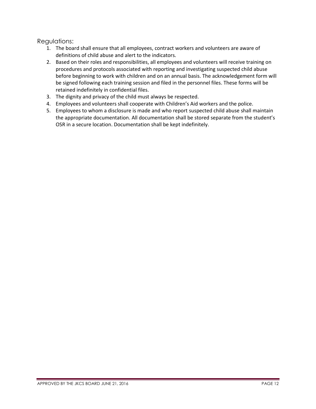Regulations:

- 1. The board shall ensure that all employees, contract workers and volunteers are aware of definitions of child abuse and alert to the indicators.
- 2. Based on their roles and responsibilities, all employees and volunteers will receive training on procedures and protocols associated with reporting and investigating suspected child abuse before beginning to work with children and on an annual basis. The acknowledgement form will be signed following each training session and filed in the personnel files. These forms will be retained indefinitely in confidential files.
- 3. The dignity and privacy of the child must always be respected.
- 4. Employees and volunteers shall cooperate with Children's Aid workers and the police.
- 5. Employees to whom a disclosure is made and who report suspected child abuse shall maintain the appropriate documentation. All documentation shall be stored separate from the student's OSR in a secure location. Documentation shall be kept indefinitely.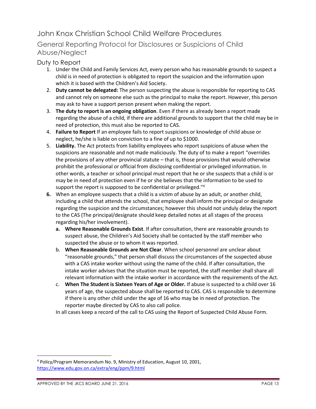## John Knox Christian School Child Welfare Procedures

#### General Reporting Protocol for Disclosures or Suspicions of Child Abuse/Neglect

#### Duty to Report

- 1. Under the Child and Family Services Act, every person who has reasonable grounds to suspect a child is in need of protection is obligated to report the suspicion and the information upon which it is based with the Children's Aid Society.
- 2. **Duty cannot be delegated:** The person suspecting the abuse is responsible for reporting to CAS and cannot rely on someone else such as the principal to make the report. However, this person may ask to have a support person present when making the report.
- 3. **The duty to report is an ongoing obligation**. Even if there as already been a report made regarding the abuse of a child, if there are additional grounds to support that the child may be in need of protection, this must also be reported to CAS.
- 4. **Failure to Report** If an employee fails to report suspicions or knowledge of child abuse or neglect, he/she is liable on conviction to a fine of up to \$1000.
- 5. **Liability.** The Act protects from liability employees who report suspicions of abuse when the suspicions are reasonable and not made maliciously. The duty of to make a report "overrides the provisions of any other provincial statute – that is, those provisions that would otherwise prohibit the professional or official from disclosing confidential or privileged information. In other words, a teacher or school principal must report that he or she suspects that a child is or may be in need of protection even if he or she believes that the information to be used to support the report is supposed to be confidential or privileged."<sup>4</sup>
- **6.** When an employee suspects that a child is a victim of abuse by an adult, or another child, including a child that attends the school, that employee shall inform the principal or designate regarding the suspicion and the circumstances; however this should not unduly delay the report to the CAS (The principal/designate should keep detailed notes at all stages of the process regarding his/her involvement).
	- **a. Where Reasonable Grounds Exist**. If after consultation, there are reasonable grounds to suspect abuse, the Children's Aid Society shall be contacted by the staff member who suspected the abuse or to whom it was reported.
	- b. **When Reasonable Grounds are Not Clear**. When school personnel are unclear about "reasonable grounds," that person shall discuss the circumstances of the suspected abuse with a CAS intake worker without using the name of the child. If after consultation, the intake worker advises that the situation must be reported, the staff member shall share all relevant information with the intake worker in accordance with the requirements of the Act.
	- c. **When The Student is Sixteen Years of Age or Older.** If abuse is suspected to a child over 16 years of age, the suspected abuse shall be reported to CAS. CAS is responsible to determine if there is any other child under the age of 16 who may be in need of protection. The reporter maybe directed by CAS to also call police.

In all cases keep a record of the call to CAS using the Report of Suspected Child Abuse Form.

 $\overline{\phantom{a}}$ 

<sup>4</sup> Policy/Program Memorandum No. 9, Ministry of Education, August 10, 2001, <https://www.edu.gov.on.ca/extra/eng/ppm/9.html>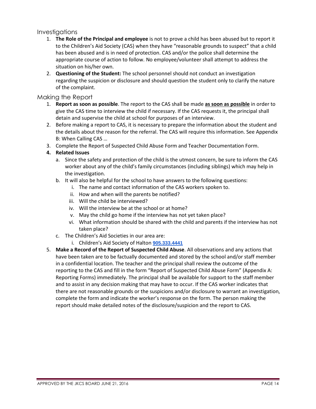**Investigations** 

- 1. **The Role of the Principal and employee** is not to prove a child has been abused but to report it to the Children's Aid Society (CAS) when they have "reasonable grounds to suspect" that a child has been abused and is in need of protection. CAS and/or the police shall determine the appropriate course of action to follow. No employee/volunteer shall attempt to address the situation on his/her own.
- 2. **Questioning of the Student:** The school personnel should not conduct an investigation regarding the suspicion or disclosure and should question the student only to clarify the nature of the complaint.

#### Making the Report

- 1. **Report as soon as possible**. The report to the CAS shall be made **as soon as possible** in order to give the CAS time to interview the child if necessary. If the CAS requests it, the principal shall detain and supervise the child at school for purposes of an interview.
- 2. Before making a report to CAS, it is necessary to prepare the information about the student and the details about the reason for the referral. The CAS will require this information. See Appendix B: When Calling CAS …
- 3. Complete the Report of Suspected Child Abuse Form and Teacher Documentation Form.

#### **4. Related Issues**

- a. Since the safety and protection of the child is the utmost concern, be sure to inform the CAS worker about any of the child's family circumstances (including siblings) which may help in the investigation.
- b. It will also be helpful for the school to have answers to the following questions:
	- i. The name and contact information of the CAS workers spoken to.
	- ii. How and when will the parents be notified?
	- iii. Will the child be interviewed?
	- iv. Will the interview be at the school or at home?
	- v. May the child go home if the interview has not yet taken place?
	- vi. What information should be shared with the child and parents if the interview has not taken place?
- c. The Children's Aid Societies in our area are:
	- i. Children's Aid Society of Halton **[905.333.4441](tel:905.333.4441)**
- 5. **Make a Record of the Report of Suspected Child Abuse**. All observations and any actions that have been taken are to be factually documented and stored by the school and/or staff member in a confidential location. The teacher and the principal shall review the outcome of the reporting to the CAS and fill in the form "Report of Suspected Child Abuse Form" (Appendix A: Reporting Forms) immediately. The principal shall be available for support to the staff member and to assist in any decision making that may have to occur. If the CAS worker indicates that there are not reasonable grounds or the suspicions and/or disclosure to warrant an investigation, complete the form and indicate the worker's response on the form. The person making the report should make detailed notes of the disclosure/suspicion and the report to CAS.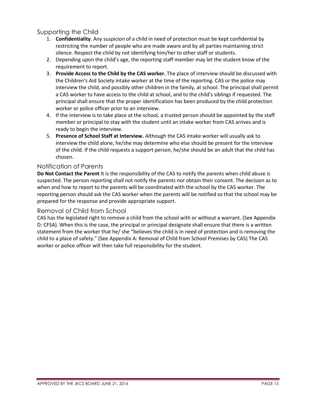#### Supporting the Child

- 1. **Confidentiality**. Any suspicion of a child in need of protection must be kept confidential by restricting the number of people who are made aware and by all parties maintaining strict silence. Respect the child by not identifying him/her to other staff or students.
- 2. Depending upon the child's age, the reporting staff member may let the student know of the requirement to report.
- 3. **Provide Access to the Child by the CAS worker.** The place of interview should be discussed with the Children's Aid Society intake worker at the time of the reporting. CAS or the police may interview the child, and possibly other children in the family, at school. The principal shall permit a CAS worker to have access to the child at school, and to the child's siblings if requested. The principal shall ensure that the proper identification has been produced by the child protection worker or police officer prior to an interview.
- 4. If the interview is to take place at the school, a trusted person should be appointed by the staff member or principal to stay with the student until an intake worker from CAS arrives and is ready to begin the interview.
- 5. **Presence of School Staff at Interview.** Although the CAS intake worker will usually ask to interview the child alone, he/she may determine who else should be present for the interview of the child. If the child requests a support person, he/she should be an adult that the child has chosen.

#### Notification of Parents

**Do Not Contact the Parent** It is the responsibility of the CAS to notify the parents when child abuse is suspected. The person reporting shall not notify the parents nor obtain their consent. The decision as to when and how to report to the parents will be coordinated with the school by the CAS worker. The reporting person should ask the CAS worker when the parents will be notified so that the school may be prepared for the response and provide appropriate support.

#### Removal of Child from School

CAS has the legislated right to remove a child from the school with or without a warrant. (See Appendix D: CFSA). When this is the case, the principal or principal designate shall ensure that there is a written statement from the worker that he/ she "believes the child is in need of protection and is removing the child to a place of safety." (See Appendix A: Removal of Child from School Premises by CAS) The CAS worker or police officer will then take full responsibility for the student.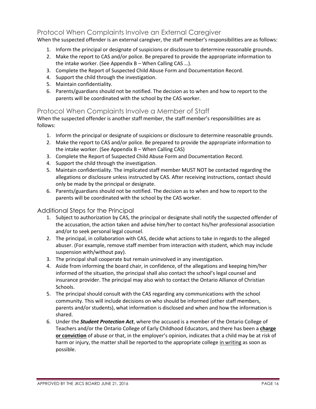#### Protocol When Complaints Involve an External Caregiver

When the suspected offender is an external caregiver, the staff member's responsibilities are as follows:

- 1. Inform the principal or designate of suspicions or disclosure to determine reasonable grounds.
- 2. Make the report to CAS and/or police. Be prepared to provide the appropriate information to the intake worker. (See Appendix B – When Calling CAS …).
- 3. Complete the Report of Suspected Child Abuse Form and Documentation Record.
- 4. Support the child through the investigation.
- 5. Maintain confidentiality.
- 6. Parents/guardians should not be notified. The decision as to when and how to report to the parents will be coordinated with the school by the CAS worker.

#### Protocol When Complaints Involve a Member of Staff

When the suspected offender is another staff member, the staff member's responsibilities are as follows:

- 1. Inform the principal or designate of suspicions or disclosure to determine reasonable grounds.
- 2. Make the report to CAS and/or police. Be prepared to provide the appropriate information to the intake worker. (See Appendix B – When Calling CAS)
- 3. Complete the Report of Suspected Child Abuse Form and Documentation Record.
- 4. Support the child through the investigation.
- 5. Maintain confidentiality. The implicated staff member MUST NOT be contacted regarding the allegations or disclosure unless instructed by CAS. After receiving instructions, contact should only be made by the principal or designate.
- 6. Parents/guardians should not be notified. The decision as to when and how to report to the parents will be coordinated with the school by the CAS worker.

#### Additional Steps for the Principal

- 1. Subject to authorization by CAS, the principal or designate shall notify the suspected offender of the accusation, the action taken and advise him/her to contact his/her professional association and/or to seek personal legal counsel.
- 2. The principal, in collaboration with CAS, decide what actions to take in regards to the alleged abuser. (For example, remove staff member from interaction with student, which may include suspension with/without pay).
- 3. The principal shall cooperate but remain uninvolved in any investigation.
- 4. Aside from informing the board chair, in confidence, of the allegations and keeping him/her informed of the situation, the principal shall also contact the school's legal counsel and insurance provider. The principal may also wish to contact the Ontario Alliance of Christian Schools.
- 5. The principal should consult with the CAS regarding any communications with the school community. This will include decisions on who should be informed (other staff members, parents and/or students), what information is disclosed and when and how the information is shared.
- 6. Under the *Student Protection Act*, where the accused is a member of the Ontario College of Teachers and/or the Ontario College of Early Childhood Educators, and there has been a **charge or conviction** of abuse or that, in the employer's opinion, indicates that a child may be at risk of harm or injury, the matter shall be reported to the appropriate college in writing as soon as possible.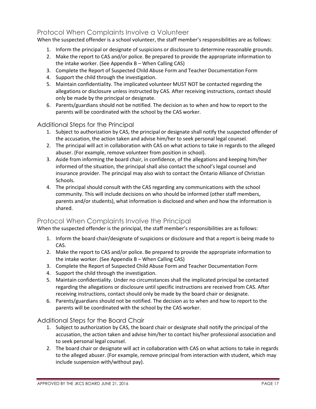#### Protocol When Complaints Involve a Volunteer

When the suspected offender is a school volunteer, the staff member's responsibilities are as follows:

- 1. Inform the principal or designate of suspicions or disclosure to determine reasonable grounds.
- 2. Make the report to CAS and/or police. Be prepared to provide the appropriate information to the intake worker. (See Appendix B – When Calling CAS)
- 3. Complete the Report of Suspected Child Abuse Form and Teacher Documentation Form
- 4. Support the child through the investigation.
- 5. Maintain confidentiality. The implicated volunteer MUST NOT be contacted regarding the allegations or disclosure unless instructed by CAS. After receiving instructions, contact should only be made by the principal or designate.
- 6. Parents/guardians should not be notified. The decision as to when and how to report to the parents will be coordinated with the school by the CAS worker.

#### Additional Steps for the Principal

- 1. Subject to authorization by CAS, the principal or designate shall notify the suspected offender of the accusation, the action taken and advise him/her to seek personal legal counsel.
- 2. The principal will act in collaboration with CAS on what actions to take in regards to the alleged abuser. (For example, remove volunteer from position in school).
- 3. Aside from informing the board chair, in confidence, of the allegations and keeping him/her informed of the situation, the principal shall also contact the school's legal counsel and insurance provider. The principal may also wish to contact the Ontario Alliance of Christian Schools.
- 4. The principal should consult with the CAS regarding any communications with the school community. This will include decisions on who should be informed (other staff members, parents and/or students), what information is disclosed and when and how the information is shared.

#### Protocol When Complaints Involve the Principal

When the suspected offender is the principal, the staff member's responsibilities are as follows:

- 1. Inform the board chair/designate of suspicions or disclosure and that a report is being made to CAS.
- 2. Make the report to CAS and/or police. Be prepared to provide the appropriate information to the intake worker. (See Appendix B – When Calling CAS)
- 3. Complete the Report of Suspected Child Abuse Form and Teacher Documentation Form
- 4. Support the child through the investigation.
- 5. Maintain confidentiality. Under no circumstances shall the implicated principal be contacted regarding the allegations or disclosure until specific instructions are received from CAS. After receiving instructions, contact should only be made by the board chair or designate.
- 6. Parents/guardians should not be notified. The decision as to when and how to report to the parents will be coordinated with the school by the CAS worker.

#### Additional Steps for the Board Chair

- 1. Subject to authorization by CAS, the board chair or designate shall notify the principal of the accusation, the action taken and advise him/her to contact his/her professional association and to seek personal legal counsel.
- 2. The board chair or designate will act in collaboration with CAS on what actions to take in regards to the alleged abuser. (For example, remove principal from interaction with student, which may include suspension with/without pay).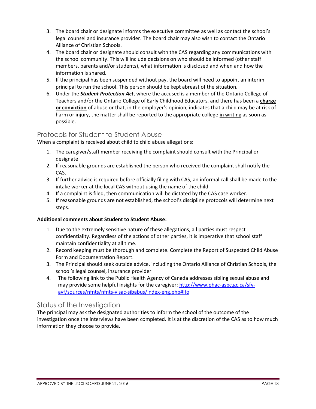- 3. The board chair or designate informs the executive committee as well as contact the school's legal counsel and insurance provider. The board chair may also wish to contact the Ontario Alliance of Christian Schools.
- 4. The board chair or designate should consult with the CAS regarding any communications with the school community. This will include decisions on who should be informed (other staff members, parents and/or students), what information is disclosed and when and how the information is shared.
- 5. If the principal has been suspended without pay, the board will need to appoint an interim principal to run the school. This person should be kept abreast of the situation.
- 6. Under the *Student Protection Act*, where the accused is a member of the Ontario College of Teachers and/or the Ontario College of Early Childhood Educators, and there has been a **charge or conviction** of abuse or that, in the employer's opinion, indicates that a child may be at risk of harm or injury, the matter shall be reported to the appropriate college in writing as soon as possible.

#### Protocols for Student to Student Abuse

When a complaint is received about child to child abuse allegations:

- 1. The caregiver/staff member receiving the complaint should consult with the Principal or designate
- 2. If reasonable grounds are established the person who received the complaint shall notify the CAS.
- 3. If further advice is required before officially filing with CAS, an informal call shall be made to the intake worker at the local CAS without using the name of the child.
- 4. If a complaint is filed, then communication will be dictated by the CAS case worker.
- 5. If reasonable grounds are not established, the school's discipline protocols will determine next steps.

#### **Additional comments about Student to Student Abuse:**

- 1. Due to the extremely sensitive nature of these allegations, all parties must respect confidentiality. Regardless of the actions of other parties, it is imperative that school staff maintain confidentiality at all time.
- 2. Record keeping must be thorough and complete. Complete the Report of Suspected Child Abuse Form and Documentation Report.
- 3. The Principal should seek outside advice, including the Ontario Alliance of Christian Schools, the school's legal counsel, insurance provider
- 4. The following link to the Public Health Agency of Canada addresses sibling sexual abuse and may provide some helpful insights for the caregiver: [http://www.phac-aspc.gc.ca/sfv](http://www.phac-aspc.gc.ca/sfv-avf/sources/nfnts/nfnts-visac-sibabus/index-eng.php#Ifo)[avf/sources/nfnts/nfnts-visac-sibabus/index-eng.php#Ifo](http://www.phac-aspc.gc.ca/sfv-avf/sources/nfnts/nfnts-visac-sibabus/index-eng.php#Ifo)

#### Status of the Investigation

The principal may ask the designated authorities to inform the school of the outcome of the investigation once the interviews have been completed. It is at the discretion of the CAS as to how much information they choose to provide.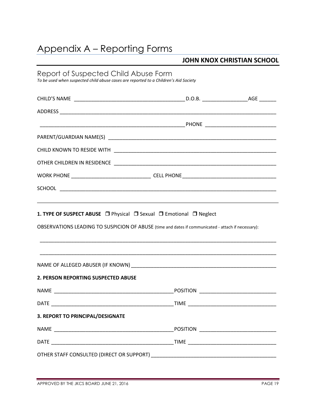## Appendix A – Reporting Forms

#### **JOHN KNOX CHRISTIAN SCHOOL**

| Report of Suspected Child Abuse Form | To be used when suspected child abuse cases are reported to a Children's Aid Society               |  |
|--------------------------------------|----------------------------------------------------------------------------------------------------|--|
|                                      |                                                                                                    |  |
|                                      |                                                                                                    |  |
|                                      |                                                                                                    |  |
|                                      |                                                                                                    |  |
|                                      |                                                                                                    |  |
|                                      |                                                                                                    |  |
|                                      |                                                                                                    |  |
|                                      |                                                                                                    |  |
|                                      | OBSERVATIONS LEADING TO SUSPICION OF ABUSE (time and dates if communicated - attach if necessary): |  |
|                                      |                                                                                                    |  |
| 2. PERSON REPORTING SUSPECTED ABUSE  |                                                                                                    |  |
|                                      |                                                                                                    |  |
|                                      |                                                                                                    |  |
| 3. REPORT TO PRINCIPAL/DESIGNATE     |                                                                                                    |  |
|                                      |                                                                                                    |  |
|                                      |                                                                                                    |  |
|                                      |                                                                                                    |  |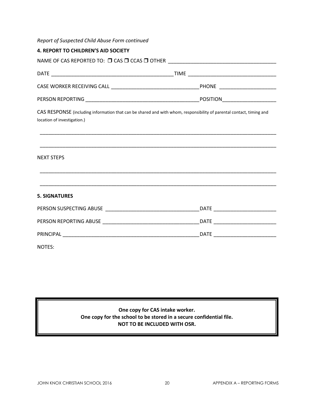| Report of Suspected Child Abuse Form continued |                                                                                                                       |  |  |
|------------------------------------------------|-----------------------------------------------------------------------------------------------------------------------|--|--|
| <b>4. REPORT TO CHILDREN'S AID SOCIETY</b>     |                                                                                                                       |  |  |
|                                                | NAME OF CAS REPORTED TO: □ CAS □ CCAS □ OTHER ___________________________________                                     |  |  |
|                                                |                                                                                                                       |  |  |
|                                                |                                                                                                                       |  |  |
|                                                |                                                                                                                       |  |  |
| location of investigation.)                    | CAS RESPONSE (including information that can be shared and with whom, responsibility of parental contact, timing and  |  |  |
|                                                | <u> 1989 - Johann Stoff, deutscher Stoff, der Stoff, der Stoff, der Stoff, der Stoff, der Stoff, der Stoff, der S</u> |  |  |
| <b>NEXT STEPS</b>                              |                                                                                                                       |  |  |
|                                                |                                                                                                                       |  |  |
| <b>5. SIGNATURES</b>                           |                                                                                                                       |  |  |
|                                                |                                                                                                                       |  |  |
|                                                |                                                                                                                       |  |  |
|                                                |                                                                                                                       |  |  |
| NOTES:                                         |                                                                                                                       |  |  |

**One copy for CAS intake worker. One copy for the school to be stored in a secure confidential file. NOT TO BE INCLUDED WITH OSR.**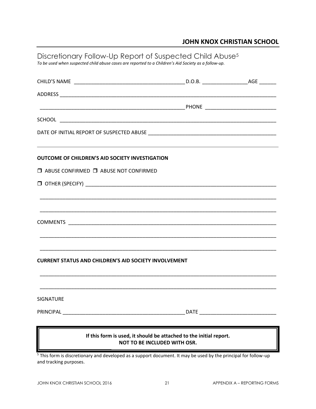#### **JOHN KNOX CHRISTIAN SCHOOL**

| Discretionary Follow-Up Report of Suspected Child Abuse <sup>5</sup><br>To be used when suspected child abuse cases are reported to a Children's Aid Society as a follow-up.                                                            |             |  |
|-----------------------------------------------------------------------------------------------------------------------------------------------------------------------------------------------------------------------------------------|-------------|--|
|                                                                                                                                                                                                                                         |             |  |
|                                                                                                                                                                                                                                         |             |  |
|                                                                                                                                                                                                                                         |             |  |
|                                                                                                                                                                                                                                         |             |  |
|                                                                                                                                                                                                                                         |             |  |
|                                                                                                                                                                                                                                         |             |  |
| ,我们也不能会在这里,我们的人们就会在这里,我们的人们就会在这里,我们的人们就会在这里,我们的人们就会在这里,我们的人们就会在这里,我们的人们就会在这里,我们的<br><b>OUTCOME OF CHILDREN'S AID SOCIETY INVESTIGATION</b>                                                                                              |             |  |
| $\Box$ ABUSE CONFIRMED $\Box$ ABUSE NOT CONFIRMED                                                                                                                                                                                       |             |  |
|                                                                                                                                                                                                                                         |             |  |
|                                                                                                                                                                                                                                         |             |  |
|                                                                                                                                                                                                                                         |             |  |
|                                                                                                                                                                                                                                         |             |  |
|                                                                                                                                                                                                                                         |             |  |
|                                                                                                                                                                                                                                         |             |  |
| <b>CURRENT STATUS AND CHILDREN'S AID SOCIETY INVOLVEMENT</b>                                                                                                                                                                            |             |  |
| <b>SIGNATURE</b>                                                                                                                                                                                                                        |             |  |
| PRINCIPAL                                                                                                                                                                                                                               | <b>DATE</b> |  |
| If this form is used, it should be attached to the initial report.<br><b>NOT TO BE INCLUDED WITH OSR.</b><br><sup>5</sup> This form is discretionary and developed as a support document. It may be used by the principal for follow-up |             |  |

and tracking purposes.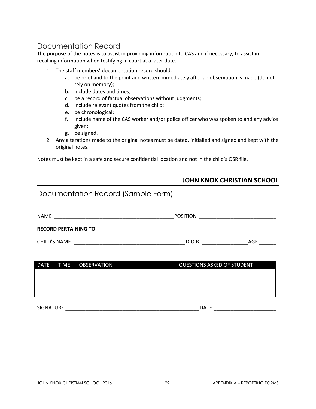## Documentation Record

The purpose of the notes is to assist in providing information to CAS and if necessary, to assist in recalling information when testifying in court at a later date.

- 1. The staff members' documentation record should:
	- a. be brief and to the point and written immediately after an observation is made (do not rely on memory);
	- b. include dates and times;
	- c. be a record of factual observations without judgments;
	- d. include relevant quotes from the child;
	- e. be chronological;
	- f. include name of the CAS worker and/or police officer who was spoken to and any advice given;
	- g. be signed.
- 2. Any alterations made to the original notes must be dated, initialled and signed and kept with the original notes.

Notes must be kept in a safe and secure confidential location and not in the child's OSR file.

#### **JOHN KNOX CHRISTIAN SCHOOL**

| Documentation Record (Sample Form) |                                   |  |
|------------------------------------|-----------------------------------|--|
|                                    |                                   |  |
| <b>RECORD PERTAINING TO</b>        |                                   |  |
|                                    |                                   |  |
|                                    |                                   |  |
| DATE TIME OBSERVATION              | <b>QUESTIONS ASKED OF STUDENT</b> |  |
|                                    |                                   |  |
|                                    |                                   |  |
|                                    | <b>DATE</b>                       |  |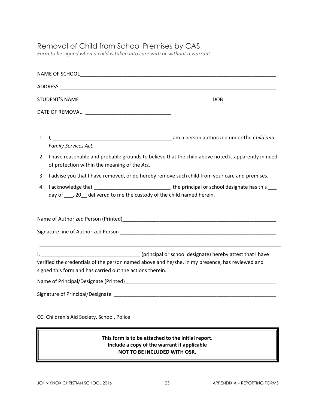### Removal of Child from School Premises by CAS

*Form to be signed when a child is taken into care with or without a warrant.*

| Family Services Act.<br>2. I have reasonable and probable grounds to believe that the child above noted is apparently in need<br>of protection within the meaning of the Act.                                                        |  |  |
|--------------------------------------------------------------------------------------------------------------------------------------------------------------------------------------------------------------------------------------|--|--|
| 3. I advise you that I have removed, or do hereby remove such child from your care and premises.                                                                                                                                     |  |  |
| day of ___, 20__ delivered to me the custody of the child named herein.                                                                                                                                                              |  |  |
|                                                                                                                                                                                                                                      |  |  |
| Signature line of Authorized Person <b>Contract Contract Contract Contract Contract Contract Contract Contract Contract Contract Contract Contract Contract Contract Contract Contract Contract Contract Contract Contract Contr</b> |  |  |
| verified the credentials of the person named above and he/she, in my presence, has reviewed and<br>signed this form and has carried out the actions therein.                                                                         |  |  |
|                                                                                                                                                                                                                                      |  |  |
|                                                                                                                                                                                                                                      |  |  |
| CC: Children's Aid Society, School, Police                                                                                                                                                                                           |  |  |

#### **This form is to be attached to the initial report. Include a copy of the warrant if applicable NOT TO BE INCLUDED WITH OSR.**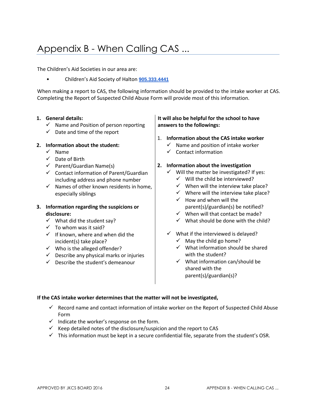## Appendix B - When Calling CAS ...

The Children's Aid Societies in our area are:

• Children's Aid Society of Halton **[905.333.4441](tel:905.333.4441)**

When making a report to CAS, the following information should be provided to the intake worker at CAS. Completing the Report of Suspected Child Abuse Form will provide most of this information.

#### **1. General details:**

- $\checkmark$  Name and Position of person reporting
- $\checkmark$  Date and time of the report

#### **2. Information about the student:**

- $\checkmark$  Name
- $\checkmark$  Date of Birth
- $\checkmark$  Parent/Guardian Name(s)
- $\checkmark$  Contact information of Parent/Guardian including address and phone number
- $\checkmark$  Names of other known residents in home, especially siblings

#### **3. Information regarding the suspicions or disclosure:**

- $\checkmark$  What did the student say?
- $\checkmark$  To whom was it said?
- $\checkmark$  If known, where and when did the incident(s) take place?
- $\checkmark$  Who is the alleged offender?
- $\checkmark$  Describe any physical marks or injuries
- $\checkmark$  Describe the student's demeanour

#### **It will also be helpful for the school to have answers to the followings:**

- 1. **Information about the CAS intake worker** 
	- $\checkmark$  Name and position of intake worker
	- $\checkmark$  Contact information

#### **2. Information about the investigation**

- $\checkmark$  Will the matter be investigated? If yes:
	- $\checkmark$  Will the child be interviewed?
	- $\checkmark$  When will the interview take place?
	- $\checkmark$  Where will the interview take place?
	- $\checkmark$  How and when will the parent(s)/guardian(s) be notified?
	- $\checkmark$  When will that contact be made?
	- $\checkmark$  What should be done with the child?
- $\checkmark$  What if the interviewed is delayed?
	- $\checkmark$  May the child go home?
	- $\checkmark$  What information should be shared with the student?
	- $\checkmark$  What information can/should be shared with the parent(s)/guardian(s)?

#### **If the CAS intake worker determines that the matter will not be investigated,**

- $\checkmark$  Record name and contact information of intake worker on the Report of Suspected Child Abuse Form
- $\checkmark$  Indicate the worker's response on the form.
- $\checkmark$  Keep detailed notes of the disclosure/suspicion and the report to CAS
- $\checkmark$  This information must be kept in a secure confidential file, separate from the student's OSR.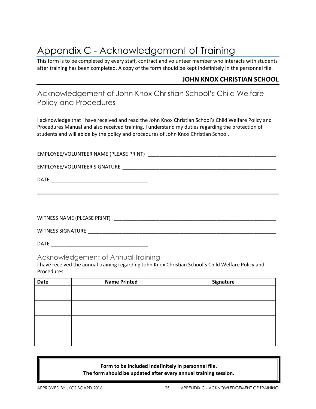## Appendix C - Acknowledgement of Training

This form is to be completed by every staff, contract and volunteer member who interacts with students after training has been completed. A copy of the form should be kept indefinitely in the personnel file.

#### **JOHN KNOX CHRISTIAN SCHOOL**

## Acknowledgement of John Knox Christian School's Child Welfare Policy and Procedures

I acknowledge that I have received and read the John Knox Christian School's Child Welfare Policy and Procedures Manual and also received training. I understand my duties regarding the protection of students and will abide by the policy and procedures of John Knox Christian School.

| EMPLOYEE/VOLUNTEER NAME (PLEASE PRINT) |  |
|----------------------------------------|--|
|                                        |  |

EMPLOYEE/VOLUNTEER SIGNATURE \_\_\_\_\_\_\_\_\_\_\_\_\_\_\_\_\_\_\_\_\_\_\_\_\_\_\_\_\_\_\_\_\_\_\_\_\_\_\_\_\_\_\_\_\_\_\_\_\_\_\_\_\_\_

DATE \_\_\_\_\_\_\_\_\_\_\_\_\_\_\_\_\_\_\_\_\_\_\_\_\_\_\_\_\_\_\_\_\_\_

WITNESS NAME (PLEASE PRINT) \_\_\_\_\_\_\_\_\_\_\_\_\_\_\_\_\_\_\_\_\_\_\_\_\_\_\_\_\_\_\_\_\_\_\_\_\_\_\_\_\_\_\_\_\_\_\_\_\_\_\_\_\_\_\_\_\_

WITNESS SIGNATURE \_\_\_\_\_\_\_\_\_\_\_\_\_\_\_\_\_\_\_\_\_\_\_\_\_\_\_\_\_\_\_\_\_\_\_\_\_\_\_\_\_\_\_\_\_\_\_\_\_\_\_\_\_\_\_\_\_\_\_\_\_\_\_\_\_\_

DATE \_\_\_\_\_\_\_\_\_\_\_\_\_\_\_\_\_\_\_\_\_\_\_\_\_\_\_\_\_\_\_\_\_\_

#### Acknowledgement of Annual Training

I have received the annual training regarding John Knox Christian School's Child Welfare Policy and Procedures.

| Date | <b>Name Printed</b> | Signature |
|------|---------------------|-----------|
|      |                     |           |
|      |                     |           |
|      |                     |           |
|      |                     |           |
|      |                     |           |
|      |                     |           |
|      |                     |           |
|      |                     |           |

**Form to be included indefinitely in personnel file. The form should be updated after every annual training session.**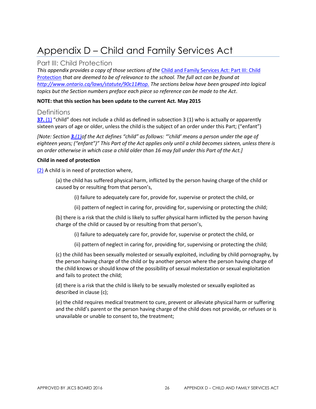## Appendix D – Child and Family Services Act

#### Part III: Child Protection

*This appendix provides a copy of those sections of the* [Child and Family Services Act: Part III: Child](http://www.ontario.ca/laws/statute/90c11#top)  [Protection](http://www.ontario.ca/laws/statute/90c11#top) *that are deemed to be of relevance to the school. The full act can be found at [http://www.ontario.ca/laws/statute/90c11#top.](http://www.ontario.ca/laws/statute/90c11#top) The sections below have been grouped into logical topics but the Section numbers preface each piece so reference can be made to the Act*.

#### **NOTE: that this section has been update to the current Act. May 2015**

#### **Definitions**

**[37.](http://www.e-laws.gov.on.ca/html/statutes/french/elaws_statutes_90c11_f.htm#s37s1)** [\(1\)](http://www.e-laws.gov.on.ca/html/statutes/french/elaws_statutes_90c11_f.htm#s37s1) "child" does not include a child as defined in subsection 3 (1) who is actually or apparently sixteen years of age or older, unless the child is the subject of an order under this Part; ("enfant")

*[Note: Section [3.](http://www.e-laws.gov.on.ca/html/statutes/french/elaws_statutes_90c11_f.htm#s3s1)[\(1\)](http://www.e-laws.gov.on.ca/html/statutes/french/elaws_statutes_90c11_f.htm#s3s1)of the Act defines "child" as follows: "'child' means a person under the age of eighteen years; ("enfant")" This Part of the Act applies only until a child becomes sixteen, unless there is an order otherwise in which case a child older than 16 may fall under this Part of the Act.]*

#### **Child in need of protection**

[\(2\)](http://www.e-laws.gov.on.ca/html/statutes/french/elaws_statutes_90c11_f.htm#s37s2) A child is in need of protection where,

(a) the child has suffered physical harm, inflicted by the person having charge of the child or caused by or resulting from that person's,

(i) failure to adequately care for, provide for, supervise or protect the child, or

(ii) pattern of neglect in caring for, providing for, supervising or protecting the child;

(b) there is a risk that the child is likely to suffer physical harm inflicted by the person having charge of the child or caused by or resulting from that person's,

(i) failure to adequately care for, provide for, supervise or protect the child, or

(ii) pattern of neglect in caring for, providing for, supervising or protecting the child;

(c) the child has been sexually molested or sexually exploited, including by child pornography, by the person having charge of the child or by another person where the person having charge of the child knows or should know of the possibility of sexual molestation or sexual exploitation and fails to protect the child;

(d) there is a risk that the child is likely to be sexually molested or sexually exploited as described in clause (c);

(e) the child requires medical treatment to cure, prevent or alleviate physical harm or suffering and the child's parent or the person having charge of the child does not provide, or refuses or is unavailable or unable to consent to, the treatment;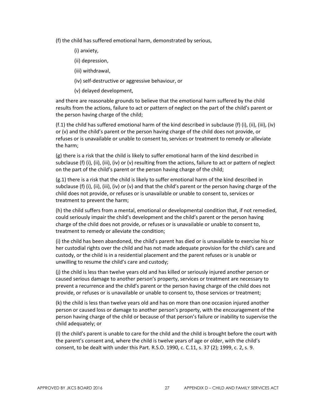(f) the child has suffered emotional harm, demonstrated by serious,

#### (i) anxiety,

- (ii) depression,
- (iii) withdrawal,
- (iv) self-destructive or aggressive behaviour, or
- (v) delayed development,

and there are reasonable grounds to believe that the emotional harm suffered by the child results from the actions, failure to act or pattern of neglect on the part of the child's parent or the person having charge of the child;

(f.1) the child has suffered emotional harm of the kind described in subclause (f) (i), (ii), (iii), (iv) or (v) and the child's parent or the person having charge of the child does not provide, or refuses or is unavailable or unable to consent to, services or treatment to remedy or alleviate the harm;

(g) there is a risk that the child is likely to suffer emotional harm of the kind described in subclause (f) (i), (ii), (iii), (iv) or (v) resulting from the actions, failure to act or pattern of neglect on the part of the child's parent or the person having charge of the child;

(g.1) there is a risk that the child is likely to suffer emotional harm of the kind described in subclause (f) (i), (ii), (iii), (iv) or (v) and that the child's parent or the person having charge of the child does not provide, or refuses or is unavailable or unable to consent to, services or treatment to prevent the harm;

(h) the child suffers from a mental, emotional or developmental condition that, if not remedied, could seriously impair the child's development and the child's parent or the person having charge of the child does not provide, or refuses or is unavailable or unable to consent to, treatment to remedy or alleviate the condition;

(i) the child has been abandoned, the child's parent has died or is unavailable to exercise his or her custodial rights over the child and has not made adequate provision for the child's care and custody, or the child is in a residential placement and the parent refuses or is unable or unwilling to resume the child's care and custody;

(j) the child is less than twelve years old and has killed or seriously injured another person or caused serious damage to another person's property, services or treatment are necessary to prevent a recurrence and the child's parent or the person having charge of the child does not provide, or refuses or is unavailable or unable to consent to, those services or treatment;

(k) the child is less than twelve years old and has on more than one occasion injured another person or caused loss or damage to another person's property, with the encouragement of the person having charge of the child or because of that person's failure or inability to supervise the child adequately; or

(l) the child's parent is unable to care for the child and the child is brought before the court with the parent's consent and, where the child is twelve years of age or older, with the child's consent, to be dealt with under this Part. R.S.O. 1990, c. C.11, s. 37 (2); 1999, c. 2, s. 9.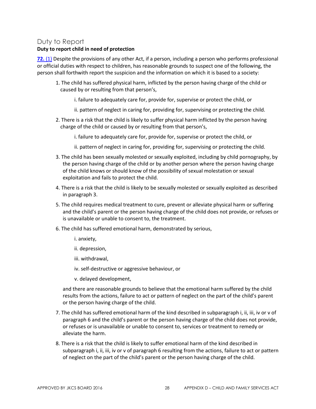#### Duty to Report

#### **Duty to report child in need of protection**

**[72.](http://www.e-laws.gov.on.ca/html/statutes/french/elaws_statutes_90c11_f.htm#s72s1)** [\(1\)](http://www.e-laws.gov.on.ca/html/statutes/french/elaws_statutes_90c11_f.htm#s72s1) Despite the provisions of any other Act, if a person, including a person who performs professional or official duties with respect to children, has reasonable grounds to suspect one of the following, the person shall forthwith report the suspicion and the information on which it is based to a society:

- 1. The child has suffered physical harm, inflicted by the person having charge of the child or caused by or resulting from that person's,
	- i. failure to adequately care for, provide for, supervise or protect the child, or
	- ii. pattern of neglect in caring for, providing for, supervising or protecting the child.
- 2. There is a risk that the child is likely to suffer physical harm inflicted by the person having charge of the child or caused by or resulting from that person's,
	- i. failure to adequately care for, provide for, supervise or protect the child, or
	- ii. pattern of neglect in caring for, providing for, supervising or protecting the child.
- 3. The child has been sexually molested or sexually exploited, including by child pornography, by the person having charge of the child or by another person where the person having charge of the child knows or should know of the possibility of sexual molestation or sexual exploitation and fails to protect the child.
- 4. There is a risk that the child is likely to be sexually molested or sexually exploited as described in paragraph 3.
- 5. The child requires medical treatment to cure, prevent or alleviate physical harm or suffering and the child's parent or the person having charge of the child does not provide, or refuses or is unavailable or unable to consent to, the treatment.
- 6. The child has suffered emotional harm, demonstrated by serious,
	- i. anxiety,
	- ii. depression,
	- iii. withdrawal,
	- iv. self-destructive or aggressive behaviour, or
	- v. delayed development,

and there are reasonable grounds to believe that the emotional harm suffered by the child results from the actions, failure to act or pattern of neglect on the part of the child's parent or the person having charge of the child.

- 7. The child has suffered emotional harm of the kind described in subparagraph i, ii, iii, iv or v of paragraph 6 and the child's parent or the person having charge of the child does not provide, or refuses or is unavailable or unable to consent to, services or treatment to remedy or alleviate the harm.
- 8. There is a risk that the child is likely to suffer emotional harm of the kind described in subparagraph i, ii, iii, iv or v of paragraph 6 resulting from the actions, failure to act or pattern of neglect on the part of the child's parent or the person having charge of the child.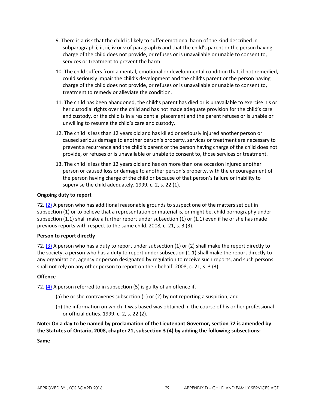- 9. There is a risk that the child is likely to suffer emotional harm of the kind described in subparagraph i, ii, iii, iv or v of paragraph 6 and that the child's parent or the person having charge of the child does not provide, or refuses or is unavailable or unable to consent to, services or treatment to prevent the harm.
- 10. The child suffers from a mental, emotional or developmental condition that, if not remedied, could seriously impair the child's development and the child's parent or the person having charge of the child does not provide, or refuses or is unavailable or unable to consent to, treatment to remedy or alleviate the condition.
- 11. The child has been abandoned, the child's parent has died or is unavailable to exercise his or her custodial rights over the child and has not made adequate provision for the child's care and custody, or the child is in a residential placement and the parent refuses or is unable or unwilling to resume the child's care and custody.
- 12. The child is less than 12 years old and has killed or seriously injured another person or caused serious damage to another person's property, services or treatment are necessary to prevent a recurrence and the child's parent or the person having charge of the child does not provide, or refuses or is unavailable or unable to consent to, those services or treatment.
- 13. The child is less than 12 years old and has on more than one occasion injured another person or caused loss or damage to another person's property, with the encouragement of the person having charge of the child or because of that person's failure or inability to supervise the child adequately. 1999, c. 2, s. 22 (1).

#### **Ongoing duty to report**

72[. \(2\)](http://www.e-laws.gov.on.ca/html/statutes/french/elaws_statutes_90c11_f.htm#ys72s2) A person who has additional reasonable grounds to suspect one of the matters set out in subsection (1) or to believe that a representation or material is, or might be, child pornography under subsection (1.1) shall make a further report under subsection (1) or (1.1) even if he or she has made previous reports with respect to the same child. 2008, c. 21, s. 3 (3).

#### **Person to report directly**

72[. \(3\)](http://www.e-laws.gov.on.ca/html/statutes/french/elaws_statutes_90c11_f.htm#ys72s3) A person who has a duty to report under subsection (1) or (2) shall make the report directly to the society, a person who has a duty to report under subsection (1.1) shall make the report directly to any organization, agency or person designated by regulation to receive such reports, and such persons shall not rely on any other person to report on their behalf. 2008, c. 21, s. 3 (3).

#### **Offence**

72.  $(4)$  A person referred to in subsection (5) is guilty of an offence if,

- (a) he or she contravenes subsection (1) or (2) by not reporting a suspicion; and
- (b) the information on which it was based was obtained in the course of his or her professional or official duties. 1999, c. 2, s. 22 (2).

**Note: On a day to be named by proclamation of the Lieutenant Governor, section 72 is amended by the Statutes of Ontario, 2008, chapter 21, subsection 3 (4) by adding the following subsections:**

**Same**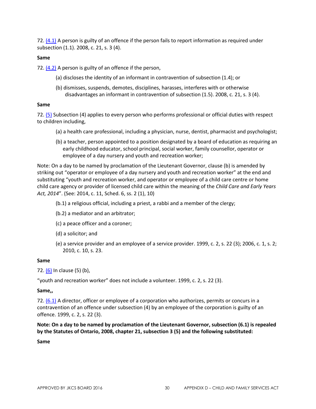72[. \(4.1\)](http://www.e-laws.gov.on.ca/html/statutes/french/elaws_statutes_90c11_f.htm#ys72s4p1) A person is guilty of an offence if the person fails to report information as required under subsection (1.1). 2008, c. 21, s. 3 (4).

#### **Same**

72[. \(4.2\)](http://www.e-laws.gov.on.ca/html/statutes/french/elaws_statutes_90c11_f.htm#ys72s4p2) A person is guilty of an offence if the person,

- (a) discloses the identity of an informant in contravention of subsection (1.4); or
- (b) dismisses, suspends, demotes, disciplines, harasses, interferes with or otherwise disadvantages an informant in contravention of subsection (1.5). 2008, c. 21, s. 3 (4).

#### **Same**

72[. \(5\)](http://www.e-laws.gov.on.ca/html/statutes/french/elaws_statutes_90c11_f.htm#s72s5) Subsection (4) applies to every person who performs professional or official duties with respect to children including,

- (a) a health care professional, including a physician, nurse, dentist, pharmacist and psychologist;
- (b) a teacher, person appointed to a position designated by a board of education as requiring an early childhood educator, school principal, social worker, family counsellor, operator or employee of a day nursery and youth and recreation worker;

Note: On a day to be named by proclamation of the Lieutenant Governor, clause (b) is amended by striking out "operator or employee of a day nursery and youth and recreation worker" at the end and substituting "youth and recreation worker, and operator or employee of a child care centre or home child care agency or provider of licensed child care within the meaning of the *Child Care and Early Years Act, 2014*". (See: 2014, c. 11, Sched. 6, ss. 2 (1), 10)

(b.1) a religious official, including a priest, a rabbi and a member of the clergy;

- (b.2) a mediator and an arbitrator;
- (c) a peace officer and a coroner;
- (d) a solicitor; and
- (e) a service provider and an employee of a service provider. 1999, c. 2, s. 22 (3); 2006, c. 1, s. 2; 2010, c. 10, s. 23.

#### **Same**

72[. \(6\)](http://www.e-laws.gov.on.ca/html/statutes/french/elaws_statutes_90c11_f.htm#s72s6) In clause (5) (b),

"youth and recreation worker" does not include a volunteer. 1999, c. 2, s. 22 (3).

#### **Same,,**

72[. \(6.1\)](http://www.e-laws.gov.on.ca/html/statutes/french/elaws_statutes_90c11_f.htm#s72s6p1) A director, officer or employee of a corporation who authorizes, permits or concurs in a contravention of an offence under subsection (4) by an employee of the corporation is guilty of an offence. 1999, c. 2, s. 22 (3).

**Note: On a day to be named by proclamation of the Lieutenant Governor, subsection (6.1) is repealed by the Statutes of Ontario, 2008, chapter 21, subsection 3 (5) and the following substituted:**

**Same**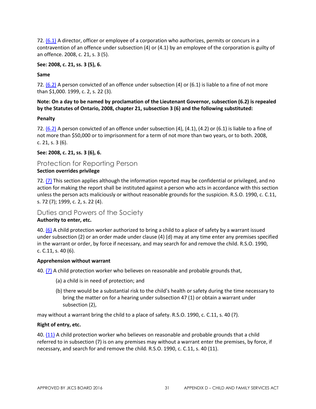72[. \(6.1\)](http://www.e-laws.gov.on.ca/html/statutes/french/elaws_statutes_90c11_f.htm#ys72s6p1) A director, officer or employee of a corporation who authorizes, permits or concurs in a contravention of an offence under subsection (4) or (4.1) by an employee of the corporation is guilty of an offence. 2008, c. 21, s. 3 (5).

#### **See: 2008, c. 21, ss. 3 (5), 6.**

#### **Same**

72[. \(6.2\)](http://www.e-laws.gov.on.ca/html/statutes/french/elaws_statutes_90c11_f.htm#s72s6p2) A person convicted of an offence under subsection (4) or (6.1) is liable to a fine of not more than \$1,000. 1999, c. 2, s. 22 (3).

#### **Note: On a day to be named by proclamation of the Lieutenant Governor, subsection (6.2) is repealed by the Statutes of Ontario, 2008, chapter 21, subsection 3 (6) and the following substituted:**

#### **Penalty**

72[. \(6.2\)](http://www.e-laws.gov.on.ca/html/statutes/french/elaws_statutes_90c11_f.htm#ys72s6p2) A person convicted of an offence under subsection (4), (4.1), (4.2) or (6.1) is liable to a fine of not more than \$50,000 or to imprisonment for a term of not more than two years, or to both. 2008, c. 21, s. 3 (6).

#### **See: 2008, c. 21, ss. 3 (6), 6.**

#### Protection for Reporting Person

#### **Section overrides privilege**

72[. \(7\)](http://www.e-laws.gov.on.ca/html/statutes/french/elaws_statutes_90c11_f.htm#s72s7) This section applies although the information reported may be confidential or privileged, and no action for making the report shall be instituted against a person who acts in accordance with this section unless the person acts maliciously or without reasonable grounds for the suspicion. R.S.O. 1990, c. C.11, s. 72 (7); 1999, c. 2, s. 22 (4).

#### Duties and Powers of the Society

#### **Authority to enter, etc.**

40. [\(6\)](http://www.e-laws.gov.on.ca/html/statutes/french/elaws_statutes_90c11_f.htm#s40s6) A child protection worker authorized to bring a child to a place of safety by a warrant issued under subsection (2) or an order made under clause (4) (d) may at any time enter any premises specified in the warrant or order, by force if necessary, and may search for and remove the child. R.S.O. 1990, c. C.11, s. 40 (6).

#### **Apprehension without warrant**

40[. \(7\)](http://www.e-laws.gov.on.ca/html/statutes/french/elaws_statutes_90c11_f.htm#s40s7) A child protection worker who believes on reasonable and probable grounds that,

- (a) a child is in need of protection; and
- (b) there would be a substantial risk to the child's health or safety during the time necessary to bring the matter on for a hearing under subsection 47 (1) or obtain a warrant under subsection (2),

may without a warrant bring the child to a place of safety. R.S.O. 1990, c. C.11, s. 40 (7).

#### **Right of entry, etc.**

40[. \(11\)](http://www.e-laws.gov.on.ca/html/statutes/french/elaws_statutes_90c11_f.htm#s40s11) A child protection worker who believes on reasonable and probable grounds that a child referred to in subsection (7) is on any premises may without a warrant enter the premises, by force, if necessary, and search for and remove the child. R.S.O. 1990, c. C.11, s. 40 (11).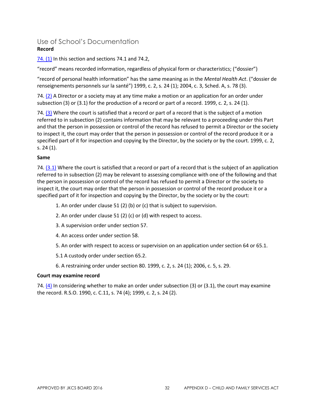#### Use of School's Documentation **Record**

#### [74. \(1\)](http://www.e-laws.gov.on.ca/html/statutes/french/elaws_statutes_90c11_f.htm#s74s1) In this section and sections 74.1 and 74.2,

"record" means recorded information, regardless of physical form or characteristics; ("dossier")

"record of personal health information" has the same meaning as in the *Mental Health Act*. ("dossier de renseignements personnels sur la santé") 1999, c. 2, s. 24 (1); 2004, c. 3, Sched. A, s. 78 (3).

74.  $(2)$  A Director or a society may at any time make a motion or an application for an order under subsection (3) or (3.1) for the production of a record or part of a record. 1999, c. 2, s. 24 (1).

74[. \(3\)](http://www.e-laws.gov.on.ca/html/statutes/french/elaws_statutes_90c11_f.htm#s74s3) Where the court is satisfied that a record or part of a record that is the subject of a motion referred to in subsection (2) contains information that may be relevant to a proceeding under this Part and that the person in possession or control of the record has refused to permit a Director or the society to inspect it, the court may order that the person in possession or control of the record produce it or a specified part of it for inspection and copying by the Director, by the society or by the court. 1999, c. 2, s. 24 (1).

#### **Same**

74.  $(3.1)$  Where the court is satisfied that a record or part of a record that is the subject of an application referred to in subsection (2) may be relevant to assessing compliance with one of the following and that the person in possession or control of the record has refused to permit a Director or the society to inspect it, the court may order that the person in possession or control of the record produce it or a specified part of it for inspection and copying by the Director, by the society or by the court:

- 1. An order under clause 51 (2) (b) or (c) that is subject to supervision.
- 2. An order under clause 51 (2) (c) or (d) with respect to access.
- 3. A supervision order under section 57.
- 4. An access order under section 58.
- 5. An order with respect to access or supervision on an application under section 64 or 65.1.

5.1 A custody order under section 65.2.

6. A restraining order under section 80. 1999, c. 2, s. 24 (1); 2006, c. 5, s. 29.

#### **Court may examine record**

74[. \(4\)](http://www.e-laws.gov.on.ca/html/statutes/french/elaws_statutes_90c11_f.htm#s74s4) In considering whether to make an order under subsection (3) or (3.1), the court may examine the record. R.S.O. 1990, c. C.11, s. 74 (4); 1999, c. 2, s. 24 (2).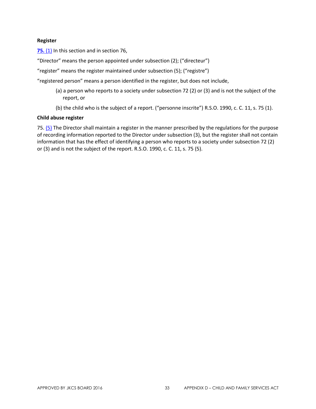#### **Register**

[75.](http://www.e-laws.gov.on.ca/html/statutes/french/elaws_statutes_90c11_f.htm#s75s1) [\(1\)](http://www.e-laws.gov.on.ca/html/statutes/french/elaws_statutes_90c11_f.htm#s75s1) In this section and in section 76,

"Director" means the person appointed under subsection (2); ("directeur")

"register" means the register maintained under subsection (5); ("registre")

"registered person" means a person identified in the register, but does not include,

- (a) a person who reports to a society under subsection 72 (2) or (3) and is not the subject of the report, or
- (b) the child who is the subject of a report. ("personne inscrite") R.S.O. 1990, c. C. 11, s. 75 (1).

#### **Child abuse register**

75[. \(5\)](http://www.e-laws.gov.on.ca/html/statutes/french/elaws_statutes_90c11_f.htm#s75s5) The Director shall maintain a register in the manner prescribed by the regulations for the purpose of recording information reported to the Director under subsection (3), but the register shall not contain information that has the effect of identifying a person who reports to a society under subsection 72 (2) or (3) and is not the subject of the report. R.S.O. 1990, c. C. 11, s. 75 (5).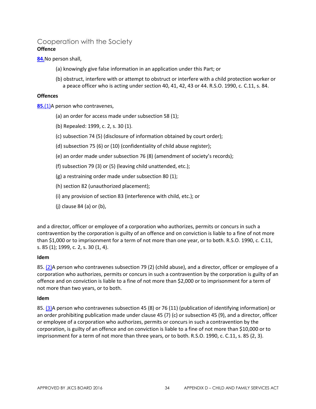#### Cooperation with the Society **Offence**

**[84.](http://www.e-laws.gov.on.ca/html/statutes/french/elaws_statutes_90c11_f.htm#s84)**No person shall,

- (a) knowingly give false information in an application under this Part; or
- (b) obstruct, interfere with or attempt to obstruct or interfere with a child protection worker or a peace officer who is acting under section 40, 41, 42, 43 or 44. R.S.O. 1990, c. C.11, s. 84.

#### **Offences**

**[85.](http://www.e-laws.gov.on.ca/html/statutes/french/elaws_statutes_90c11_f.htm#s85s1)**[\(1\)A](http://www.e-laws.gov.on.ca/html/statutes/french/elaws_statutes_90c11_f.htm#s85s1) person who contravenes,

- (a) an order for access made under subsection 58 (1);
- (b) Repealed: 1999, c. 2, s. 30 (1).
- (c) subsection 74 (5) (disclosure of information obtained by court order);
- (d) subsection 75 (6) or (10) (confidentiality of child abuse register);
- (e) an order made under subsection 76 (8) (amendment of society's records);
- (f) subsection 79 (3) or (5) (leaving child unattended, etc.);
- (g) a restraining order made under subsection 80 (1);
- (h) section 82 (unauthorized placement);
- (i) any provision of section 83 (interference with child, etc.); or
- (j) clause 84 (a) or (b),

and a director, officer or employee of a corporation who authorizes, permits or concurs in such a contravention by the corporation is guilty of an offence and on conviction is liable to a fine of not more than \$1,000 or to imprisonment for a term of not more than one year, or to both. R.S.O. 1990, c. C.11, s. 85 (1); 1999, c. 2, s. 30 (1, 4).

#### **Idem**

85[. \(2\)A](http://www.e-laws.gov.on.ca/html/statutes/french/elaws_statutes_90c11_f.htm#s85s2) person who contravenes subsection 79 (2) (child abuse), and a director, officer or employee of a corporation who authorizes, permits or concurs in such a contravention by the corporation is guilty of an offence and on conviction is liable to a fine of not more than \$2,000 or to imprisonment for a term of not more than two years, or to both.

#### **Idem**

85[. \(3\)A](http://www.e-laws.gov.on.ca/html/statutes/french/elaws_statutes_90c11_f.htm#s85s3) person who contravenes subsection 45 (8) or 76 (11) (publication of identifying information) or an order prohibiting publication made under clause 45 (7) (c) or subsection 45 (9), and a director, officer or employee of a corporation who authorizes, permits or concurs in such a contravention by the corporation, is guilty of an offence and on conviction is liable to a fine of not more than \$10,000 or to imprisonment for a term of not more than three years, or to both. R.S.O. 1990, c. C.11, s. 85 (2, 3).